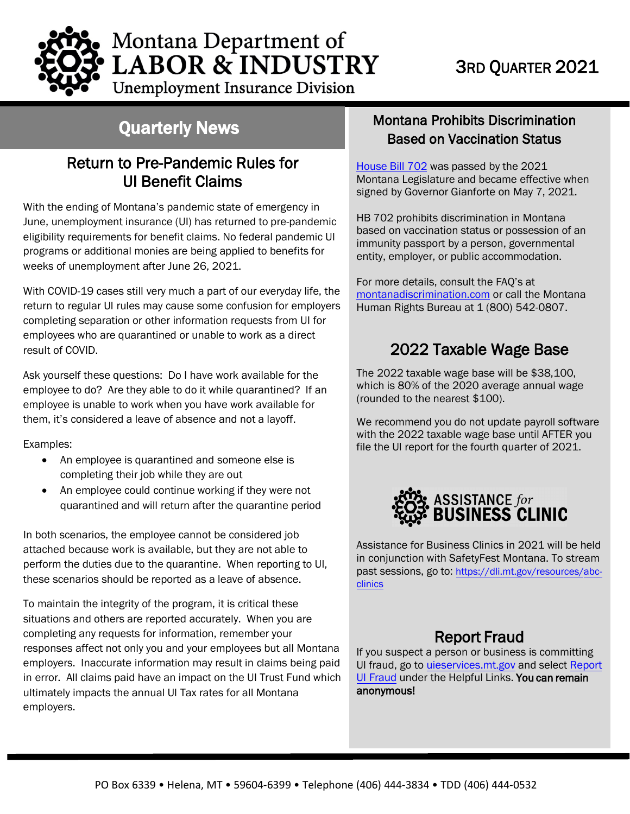

**Unemployment Insurance Division** 

## Quarterly News

## Return to Pre-Pandemic Rules for UI Benefit Claims

With the ending of Montana's pandemic state of emergency in June, unemployment insurance (UI) has returned to pre-pandemic eligibility requirements for benefit claims. No federal pandemic UI programs or additional monies are being applied to benefits for weeks of unemployment after June 26, 2021.

With COVID-19 cases still very much a part of our everyday life, the return to regular UI rules may cause some confusion for employers completing separation or other information requests from UI for employees who are quarantined or unable to work as a direct result of COVID.

Ask yourself these questions: Do I have work available for the employee to do? Are they able to do it while quarantined? If an employee is unable to work when you have work available for them, it's considered a leave of absence and not a layoff.

Examples:

- An employee is quarantined and someone else is completing their job while they are out
- An employee could continue working if they were not quarantined and will return after the quarantine period

In both scenarios, the employee cannot be considered job attached because work is available, but they are not able to perform the duties due to the quarantine. When reporting to UI, these scenarios should be reported as a leave of absence.

To maintain the integrity of the program, it is critical these situations and others are reported accurately. When you are completing any requests for information, remember your responses affect not only you and your employees but all Montana employers. Inaccurate information may result in claims being paid in error. All claims paid have an impact on the UI Trust Fund which ultimately impacts the annual UI Tax rates for all Montana employers.

#### Montana Prohibits Discrimination Based on Vaccination Status

[House Bill 702](https://leg.mt.gov/bills/2021/billhtml/HB0702.htm) was passed by the 2021 Montana Legislature and became effective when signed by Governor Gianforte on May 7, 2021.

HB 702 prohibits discrimination in Montana based on vaccination status or possession of an immunity passport by a person, governmental entity, employer, or public accommodation.

For more details, consult the FAQ's at [montanadiscrimination.com](https://erd.dli.mt.gov/human-rights/) or call the Montana Human Rights Bureau at 1 (800) 542-0807.

## 2022 Taxable Wage Base

The 2022 taxable wage base will be \$38,100, which is 80% of the 2020 average annual wage (rounded to the nearest \$100).

We recommend you do not update payroll software with the 2022 taxable wage base until AFTER you file the UI report for the fourth quarter of 2021.



Assistance for Business Clinics in 2021 will be held in conjunction with SafetyFest Montana. To stream past sessions, go to: [https://dli.mt.gov/resources/abc](https://dli.mt.gov/resources/abc-clinics?pk_vid=6f44e3915219e7421631903298ce9af1)[clinics](https://dli.mt.gov/-assistance-for-business-clinics)

## Report Fraud

If you suspect a person or business is committing UI fraud, go to [uieservices.mt.gov](https://uieservices.mt.gov/_/) and select [Report](http://uid.dli.mt.gov/report-fraud) [UI Fraud](http://uid.dli.mt.gov/report-fraud) under the Helpful Links. You can remain anonymous!